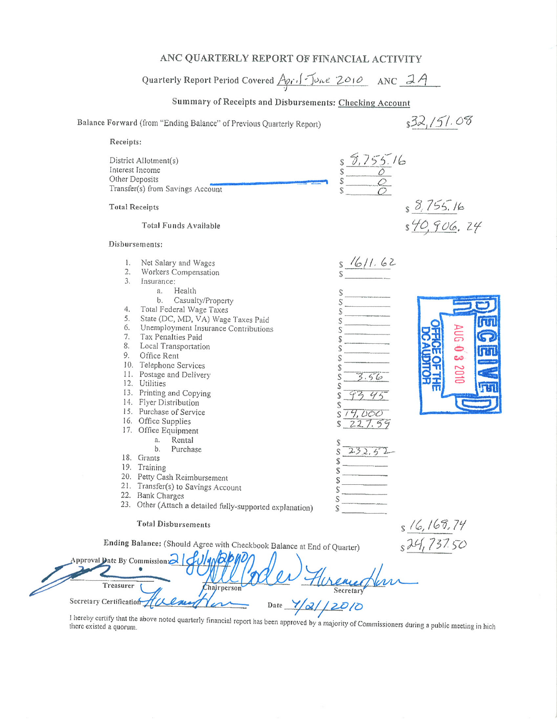## ANC QUARTERLY REPORT OF FINANCIAL ACTIVITY

# Quarterly Report Period Covered April June 2010 ANC 2A

# Summary of Receipts and Disbursements: Checking Account

#### Balance Forward (from "Ending Balance" of Previous Quarterly Report)

Appro

Treasurer

Secretary Certification 1

 $s32,151.08$ 

| Receipts:                                                                                                                                                                                                                                                                                                                                                                                                                                                                                                                                                                                                                                                                                                                                                                      |                                                                                                                                                                                              |                                             |
|--------------------------------------------------------------------------------------------------------------------------------------------------------------------------------------------------------------------------------------------------------------------------------------------------------------------------------------------------------------------------------------------------------------------------------------------------------------------------------------------------------------------------------------------------------------------------------------------------------------------------------------------------------------------------------------------------------------------------------------------------------------------------------|----------------------------------------------------------------------------------------------------------------------------------------------------------------------------------------------|---------------------------------------------|
| District Allotment(s)<br>Interest Income<br>Other Deposits<br>Transfer(s) from Savings Account                                                                                                                                                                                                                                                                                                                                                                                                                                                                                                                                                                                                                                                                                 | $s = 5.755.16$<br>$s = 0$                                                                                                                                                                    |                                             |
| <b>Total Receipts</b>                                                                                                                                                                                                                                                                                                                                                                                                                                                                                                                                                                                                                                                                                                                                                          |                                                                                                                                                                                              | s 8,755.16<br>s 40,906,24                   |
| Total Funds Available                                                                                                                                                                                                                                                                                                                                                                                                                                                                                                                                                                                                                                                                                                                                                          |                                                                                                                                                                                              |                                             |
| Disbursements:                                                                                                                                                                                                                                                                                                                                                                                                                                                                                                                                                                                                                                                                                                                                                                 |                                                                                                                                                                                              |                                             |
| 1.<br>Net Salary and Wages<br>$\overline{2}$ .<br>Workers Compensation<br>3.<br>Insurance:<br>Health<br>a.<br>b.<br>Casualty/Property<br>4.<br>Total Federal Wage Taxes<br>5.<br>State (DC, MD, VA) Wage Taxes Paid<br>6.<br>Unemployment Insurance Contributions<br>7.<br>Tax Penalties Paid<br>8. Local Transportation<br>9.<br>Office Rent<br>10. Telephone Services<br>11. Postage and Delivery<br>12. Utilities<br>13. Printing and Copying<br>14. Flyer Distribution<br>15. Purchase of Service<br>16. Office Supplies<br>17. Office Equipment<br>Rental<br>a.<br>$b$ .<br>Purchase<br>18. Grants<br>19. Training<br>20. Petty Cash Reimbursement<br>21. Transfer(s) to Savings Account<br>22. Bank Charges<br>23. Other (Attach a detailed fully-supported explanation) | $s \frac{1611.62}{s}$<br>$\mathsf S$<br>S<br>Ŝ<br>S<br>\$<br>\$<br>S<br>\$<br>3.56<br>S<br>14,000<br>S<br>227.59<br>232,52<br>$\mathcal{L}$<br>$\mathcal{S}$<br>S<br>Ŝ<br>S<br>$\mathcal{S}$ | ت                                           |
| <b>Total Disbursements</b>                                                                                                                                                                                                                                                                                                                                                                                                                                                                                                                                                                                                                                                                                                                                                     |                                                                                                                                                                                              |                                             |
| Ending Balance: (Should Agree with Checkbook Balance at End of Quarter)<br>val Date By Commission 2   JU/4N                                                                                                                                                                                                                                                                                                                                                                                                                                                                                                                                                                                                                                                                    |                                                                                                                                                                                              | $\frac{16}{5}$ 16, 169, 74<br>s 24, 737. 50 |

Date  $\frac{1}{2}$  2010 I hereby certify that the above noted quarterly financial report has been approved by a majority of Commissioners during a public meeting in hich

Chairperson

ener

Secretary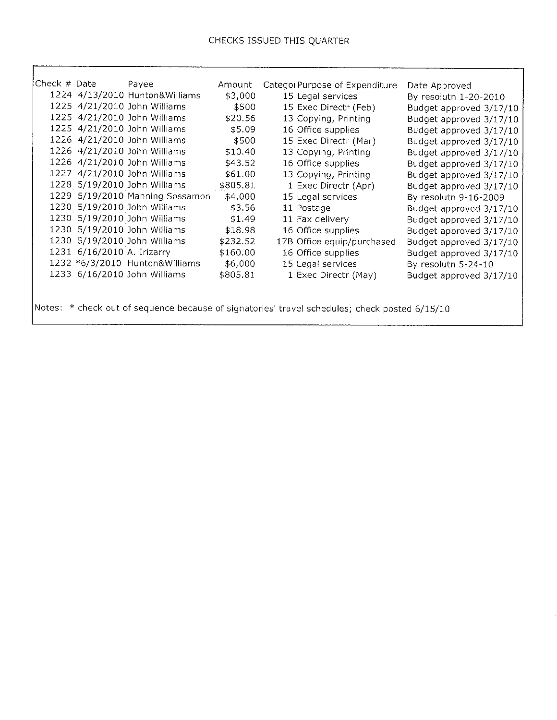้า

- II

| Check # Date                                                                                  |                            | Payee                           | Amount   | Categor Purpose of Expenditure |                         |
|-----------------------------------------------------------------------------------------------|----------------------------|---------------------------------|----------|--------------------------------|-------------------------|
|                                                                                               |                            | 1224 4/13/2010 Hunton&Williams  |          |                                | Date Approved           |
|                                                                                               |                            |                                 | \$3,000  | 15 Legal services              | By resolutn 1-20-2010   |
|                                                                                               |                            | 1225 4/21/2010 John Williams    | \$500    | 15 Exec Directr (Feb)          | Budget approved 3/17/10 |
|                                                                                               |                            | 1225 4/21/2010 John Williams    | \$20.56  | 13 Copying, Printing           | Budget approved 3/17/10 |
|                                                                                               |                            | 1225 4/21/2010 John Williams    | \$5.09   | 16 Office supplies             | Budget approved 3/17/10 |
|                                                                                               |                            | 1226 4/21/2010 John Williams    | \$500    | 15 Exec Directr (Mar)          | Budget approved 3/17/10 |
|                                                                                               |                            | 1226 4/21/2010 John Williams    | \$10.40  | 13 Copying, Printing           | Budget approved 3/17/10 |
|                                                                                               |                            | 1226 4/21/2010 John Williams    | \$43.52  | 16 Office supplies             | Budget approved 3/17/10 |
|                                                                                               |                            | 1227 4/21/2010 John Williams    | \$61,00  | 13 Copying, Printing           | Budget approved 3/17/10 |
|                                                                                               |                            | 1228 5/19/2010 John Williams    | \$805.81 | 1 Exec Directr (Apr)           | Budget approved 3/17/10 |
|                                                                                               |                            | 1229 5/19/2010 Manning Sossamon | \$4,000  | 15 Legal services              | By resolutn 9-16-2009   |
|                                                                                               |                            | 1230 5/19/2010 John Williams    | \$3.56   | 11 Postage                     | Budget approved 3/17/10 |
|                                                                                               |                            | 1230 5/19/2010 John Williams    | \$1.49   | 11 Fax delivery                | Budget approved 3/17/10 |
|                                                                                               |                            | 1230 5/19/2010 John Williams    | \$18.98  | 16 Office supplies             | Budget approved 3/17/10 |
|                                                                                               |                            | 1230 5/19/2010 John Williams    | \$232.52 | 17B Office equip/purchased     | Budget approved 3/17/10 |
|                                                                                               | 1231 6/16/2010 A. Irizarry |                                 | \$160.00 | 16 Office supplies             | Budget approved 3/17/10 |
|                                                                                               |                            | 1232 *6/3/2010 Hunton&Williams  | \$6,000  | 15 Legal services              | By resolutn 5-24-10     |
|                                                                                               |                            | 1233 6/16/2010 John Williams    | \$805.81 | 1 Exec Directr (May)           | Budget approved 3/17/10 |
|                                                                                               |                            |                                 |          |                                |                         |
|                                                                                               |                            |                                 |          |                                |                         |
| Notes: * check out of sequence because of signatories' travel schedules; check posted 6/15/10 |                            |                                 |          |                                |                         |